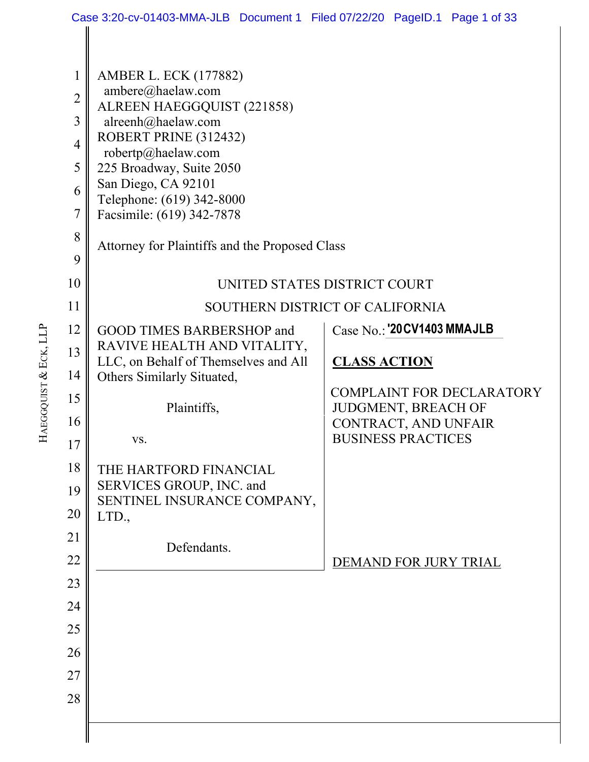|                | Case 3:20-cv-01403-MMA-JLB Document 1 Filed 07/22/20 PageID.1 Page 1 of 33 |                                                         |  |
|----------------|----------------------------------------------------------------------------|---------------------------------------------------------|--|
|                |                                                                            |                                                         |  |
| $\mathbf 1$    | <b>AMBER L. ECK (177882)</b>                                               |                                                         |  |
| $\overline{2}$ | ambere@haelaw.com<br>ALREEN HAEGGQUIST (221858)                            |                                                         |  |
| 3              | alreenh@haelaw.com                                                         |                                                         |  |
| $\overline{4}$ | ROBERT PRINE (312432)<br>robertp@haelaw.com                                |                                                         |  |
| 5              | 225 Broadway, Suite 2050                                                   |                                                         |  |
| 6              | San Diego, CA 92101<br>Telephone: (619) 342-8000                           |                                                         |  |
| 7              | Facsimile: (619) 342-7878                                                  |                                                         |  |
| 8              | Attorney for Plaintiffs and the Proposed Class                             |                                                         |  |
| 9              |                                                                            |                                                         |  |
| 10             | UNITED STATES DISTRICT COURT                                               |                                                         |  |
| 11             |                                                                            | SOUTHERN DISTRICT OF CALIFORNIA                         |  |
| 12             | GOOD TIMES BARBERSHOP and                                                  | Case No.: '20 CV1403 MMAJLB                             |  |
| 13             | RAVIVE HEALTH AND VITALITY,<br>LLC, on Behalf of Themselves and All        | <b>CLASS ACTION</b>                                     |  |
| 14             | Others Similarly Situated,                                                 |                                                         |  |
| 15             | Plaintiffs,                                                                | <b>COMPLAINT FOR DECLARATORY</b><br>JUDGMENT, BREACH OF |  |
| 16             |                                                                            | CONTRACT, AND UNFAIR                                    |  |
| 17             | VS.                                                                        | <b>BUSINESS PRACTICES</b>                               |  |
| 18             | THE HARTFORD FINANCIAL                                                     |                                                         |  |
| 19             | SERVICES GROUP, INC. and<br>SENTINEL INSURANCE COMPANY,                    |                                                         |  |
| 20             | LTD.,                                                                      |                                                         |  |
| 21             | Defendants.                                                                |                                                         |  |
| 22             |                                                                            | DEMAND FOR JURY TRIAL                                   |  |
| 23             |                                                                            |                                                         |  |
| 24             |                                                                            |                                                         |  |
| 25             |                                                                            |                                                         |  |
| 26             |                                                                            |                                                         |  |
| 27             |                                                                            |                                                         |  |
| 28             |                                                                            |                                                         |  |
|                |                                                                            |                                                         |  |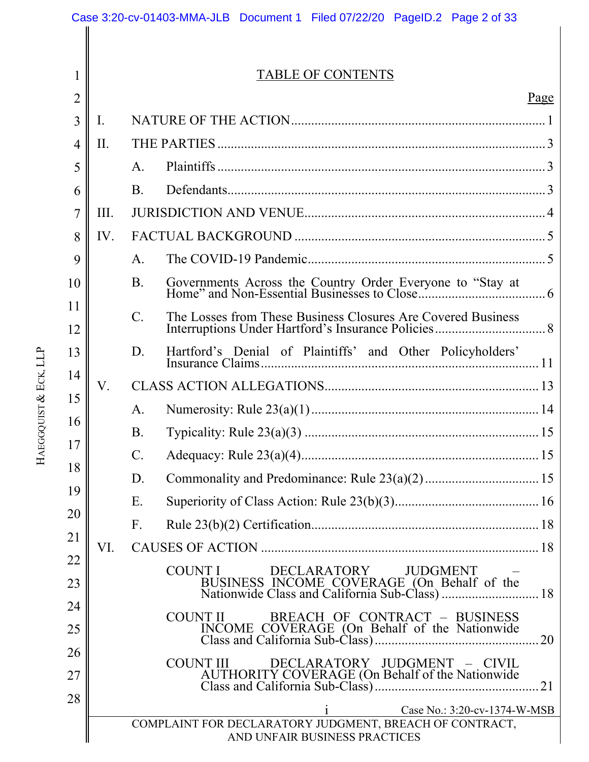|                | Case 3:20-cv-01403-MMA-JLB Document 1 Filed 07/22/20 PageID.2 Page 2 of 33 |                                                                                          |  |
|----------------|----------------------------------------------------------------------------|------------------------------------------------------------------------------------------|--|
|                |                                                                            |                                                                                          |  |
| 1              |                                                                            | <b>TABLE OF CONTENTS</b>                                                                 |  |
| $\overline{2}$ |                                                                            | Page                                                                                     |  |
| 3              | I.                                                                         |                                                                                          |  |
| $\overline{4}$ | II.                                                                        |                                                                                          |  |
| 5              |                                                                            | $\mathsf{A}$ .                                                                           |  |
| 6              |                                                                            | <b>B.</b>                                                                                |  |
| 7              | III.                                                                       |                                                                                          |  |
| 8              | IV.                                                                        |                                                                                          |  |
| 9              |                                                                            | $\mathsf{A}$ .                                                                           |  |
| 10             |                                                                            | <b>B.</b>                                                                                |  |
| 11             |                                                                            | $C_{\cdot}$<br>The Losses from These Business Closures Are Covered Business              |  |
| 12             |                                                                            |                                                                                          |  |
| 13             |                                                                            | D.<br>Hartford's Denial of Plaintiffs' and Other Policyholders'                          |  |
| 14             | V.                                                                         |                                                                                          |  |
| 15             |                                                                            | $\mathsf{A}.$                                                                            |  |
| 16             |                                                                            | <b>B.</b>                                                                                |  |
| 17             |                                                                            | $C_{\cdot}$                                                                              |  |
| 18             |                                                                            | D.                                                                                       |  |
| 19             |                                                                            | Ε.                                                                                       |  |
| 20             |                                                                            | $F_{\cdot}$                                                                              |  |
| 21             | VI.                                                                        |                                                                                          |  |
| 22             |                                                                            | COUNT I<br>DECLARATORY<br><b>JUDGMENT</b>                                                |  |
| 23             |                                                                            |                                                                                          |  |
| 24<br>25       |                                                                            | BREACH OF CONTRACT - BUSINESS<br>COUNT II                                                |  |
| 26             |                                                                            | 20                                                                                       |  |
| 27             |                                                                            | DECLARATORY JUDGMENT - CIVIL<br><b>COUNT III</b>                                         |  |
| 28             |                                                                            | Case No.: 3:20-cv-1374-W-MSB                                                             |  |
|                |                                                                            | COMPLAINT FOR DECLARATORY JUDGMENT, BREACH OF CONTRACT,<br>AND UNFAIR BUSINESS PRACTICES |  |

HAEGGQUIST & ECK, LLP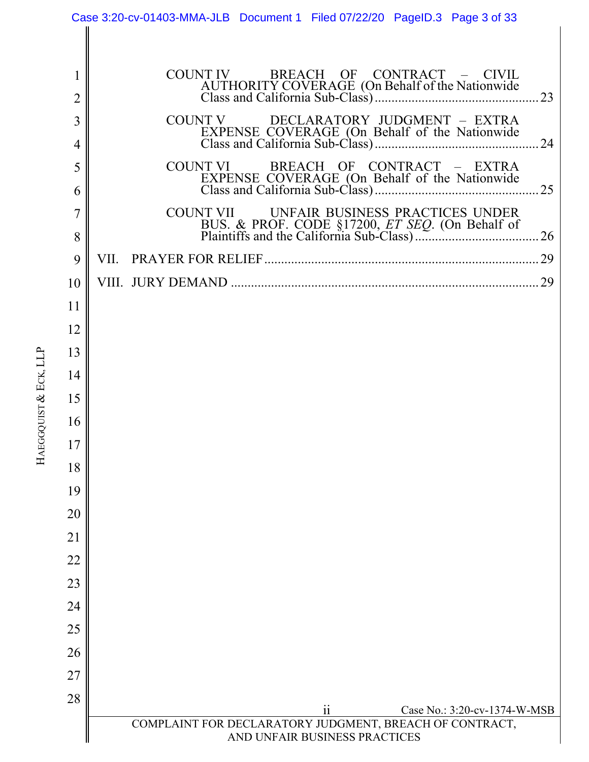|                     | Case 3:20-cv-01403-MMA-JLB Document 1 Filed 07/22/20 PageID.3 Page 3 of 33 |
|---------------------|----------------------------------------------------------------------------|
|                     |                                                                            |
| 1<br>$\overline{2}$ | COUNT IV BREACH OF CONTRACT - CIVIL<br>23                                  |
| 3                   | DECLARATORY JUDGMENT - EXTRA<br>COUNT V                                    |
| $\overline{4}$      | 24                                                                         |
| 5                   | COUNT VI<br>BREACH OF CONTRACT - EXTRA                                     |
| 6                   | EXPENSE COVERAGE (On Behalf of the Nationwide<br>25                        |
| 7                   | COUNT VII UNFAIR BUSINESS PRACTICES UNDER                                  |
| 8                   |                                                                            |
| 9                   | VII.                                                                       |
| 10                  | 29                                                                         |
| 11                  |                                                                            |
| 12                  |                                                                            |
| 13                  |                                                                            |
| 14                  |                                                                            |
| 15                  |                                                                            |
| 16                  |                                                                            |
| 17                  |                                                                            |
| 18                  |                                                                            |
| 19                  |                                                                            |
| 20                  |                                                                            |
| 21                  |                                                                            |
| 22                  |                                                                            |
| 23                  |                                                                            |
| 24                  |                                                                            |
| 25                  |                                                                            |
| 26                  |                                                                            |
| 27                  |                                                                            |
| 28                  | Case No.: 3:20-cv-1374-W-MSB                                               |
|                     | $\overline{11}$<br>COMPLAINT FOR DECLARATORY JUDGMENT, BREACH OF CONTRACT, |
|                     | AND UNFAIR BUSINESS PRACTICES                                              |

HAEGGQUIST & ECK, LLP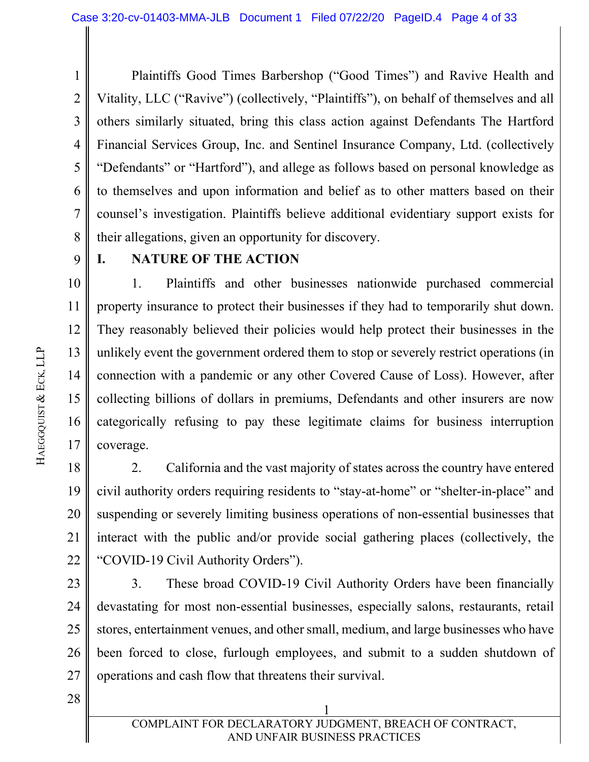1 2 3 4 5 6 7 8 Plaintiffs Good Times Barbershop ("Good Times") and Ravive Health and Vitality, LLC ("Ravive") (collectively, "Plaintiffs"), on behalf of themselves and all others similarly situated, bring this class action against Defendants The Hartford Financial Services Group, Inc. and Sentinel Insurance Company, Ltd. (collectively "Defendants" or "Hartford"), and allege as follows based on personal knowledge as to themselves and upon information and belief as to other matters based on their counsel's investigation. Plaintiffs believe additional evidentiary support exists for their allegations, given an opportunity for discovery.

9

### **I. NATURE OF THE ACTION**

10 11 12 13 14 15 16 17 1. Plaintiffs and other businesses nationwide purchased commercial property insurance to protect their businesses if they had to temporarily shut down. They reasonably believed their policies would help protect their businesses in the unlikely event the government ordered them to stop or severely restrict operations (in connection with a pandemic or any other Covered Cause of Loss). However, after collecting billions of dollars in premiums, Defendants and other insurers are now categorically refusing to pay these legitimate claims for business interruption coverage.

18 19 20 21 22 2. California and the vast majority of states across the country have entered civil authority orders requiring residents to "stay-at-home" or "shelter-in-place" and suspending or severely limiting business operations of non-essential businesses that interact with the public and/or provide social gathering places (collectively, the "COVID-19 Civil Authority Orders").

23 24 25 26 27 3. These broad COVID-19 Civil Authority Orders have been financially devastating for most non-essential businesses, especially salons, restaurants, retail stores, entertainment venues, and other small, medium, and large businesses who have been forced to close, furlough employees, and submit to a sudden shutdown of operations and cash flow that threatens their survival.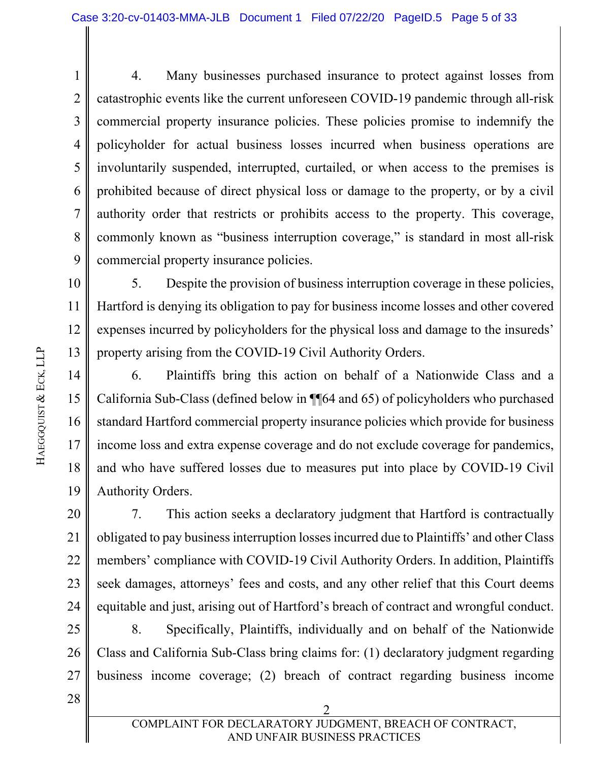1 2 3 4 5 6 7 8 9 4. Many businesses purchased insurance to protect against losses from catastrophic events like the current unforeseen COVID-19 pandemic through all-risk commercial property insurance policies. These policies promise to indemnify the policyholder for actual business losses incurred when business operations are involuntarily suspended, interrupted, curtailed, or when access to the premises is prohibited because of direct physical loss or damage to the property, or by a civil authority order that restricts or prohibits access to the property. This coverage, commonly known as "business interruption coverage," is standard in most all-risk commercial property insurance policies.

10 11 12 13 5. Despite the provision of business interruption coverage in these policies, Hartford is denying its obligation to pay for business income losses and other covered expenses incurred by policyholders for the physical loss and damage to the insureds' property arising from the COVID-19 Civil Authority Orders.

14 15 16 17 18 19 6. Plaintiffs bring this action on behalf of a Nationwide Class and a California Sub-Class (defined below in ¶¶64 and 65) of policyholders who purchased standard Hartford commercial property insurance policies which provide for business income loss and extra expense coverage and do not exclude coverage for pandemics, and who have suffered losses due to measures put into place by COVID-19 Civil Authority Orders.

20 22 23 24 7. This action seeks a declaratory judgment that Hartford is contractually obligated to pay business interruption losses incurred due to Plaintiffs' and other Class members' compliance with COVID-19 Civil Authority Orders. In addition, Plaintiffs seek damages, attorneys' fees and costs, and any other relief that this Court deems equitable and just, arising out of Hartford's breach of contract and wrongful conduct.

25 26 27 8. Specifically, Plaintiffs, individually and on behalf of the Nationwide Class and California Sub-Class bring claims for: (1) declaratory judgment regarding business income coverage; (2) breach of contract regarding business income

2

28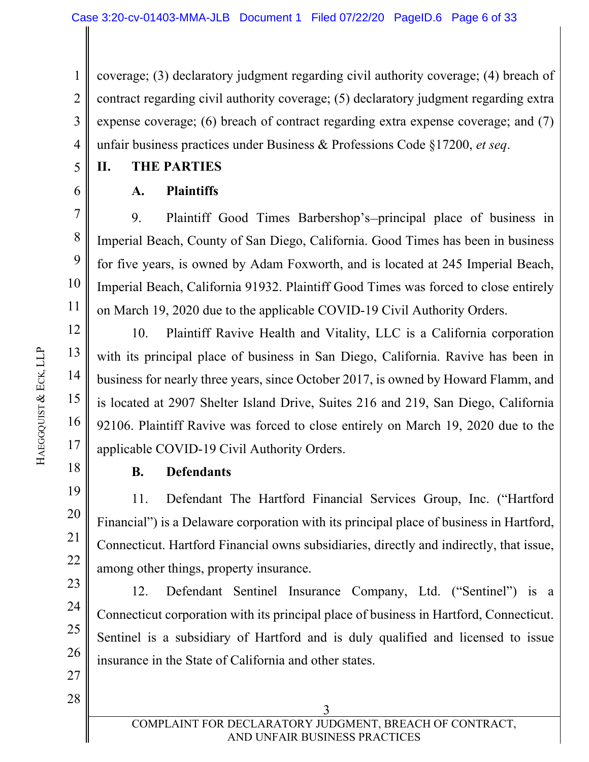1 2 3 4 coverage; (3) declaratory judgment regarding civil authority coverage; (4) breach of contract regarding civil authority coverage; (5) declaratory judgment regarding extra expense coverage; (6) breach of contract regarding extra expense coverage; and (7) unfair business practices under Business & Professions Code §17200, *et seq*.

- **II. THE PARTIES**
- 6

5

7

8

9

10

11

12

13

14

15

16

17

## **A. Plaintiffs**

9. Plaintiff Good Times Barbershop's-principal place of business in Imperial Beach, County of San Diego, California. Good Times has been in business for five years, is owned by Adam Foxworth, and is located at 245 Imperial Beach, Imperial Beach, California 91932. Plaintiff Good Times was forced to close entirely on March 19, 2020 due to the applicable COVID-19 Civil Authority Orders.

10. Plaintiff Ravive Health and Vitality, LLC is a California corporation with its principal place of business in San Diego, California. Ravive has been in business for nearly three years, since October 2017, is owned by Howard Flamm, and is located at 2907 Shelter Island Drive, Suites 216 and 219, San Diego, California 92106. Plaintiff Ravive was forced to close entirely on March 19, 2020 due to the applicable COVID-19 Civil Authority Orders.

18

19

20

21

22

23

24

25

26

## **B. Defendants**

11. Defendant The Hartford Financial Services Group, Inc. ("Hartford Financial") is a Delaware corporation with its principal place of business in Hartford, Connecticut. Hartford Financial owns subsidiaries, directly and indirectly, that issue, among other things, property insurance.

12. Defendant Sentinel Insurance Company, Ltd. ("Sentinel") is a Connecticut corporation with its principal place of business in Hartford, Connecticut. Sentinel is a subsidiary of Hartford and is duly qualified and licensed to issue insurance in the State of California and other states.

28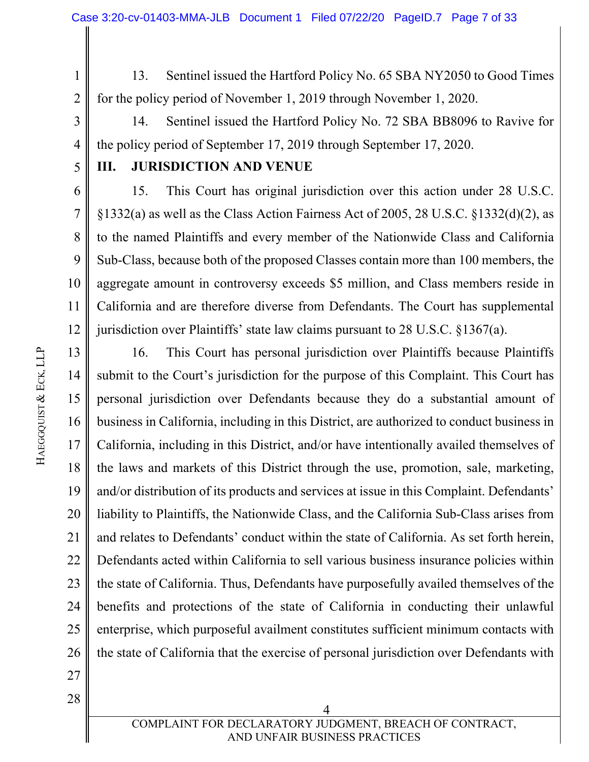1 2 13. Sentinel issued the Hartford Policy No. 65 SBA NY2050 to Good Times for the policy period of November 1, 2019 through November 1, 2020.

3 4 14. Sentinel issued the Hartford Policy No. 72 SBA BB8096 to Ravive for the policy period of September 17, 2019 through September 17, 2020.

### **III. JURISDICTION AND VENUE**

6 7 8 9 10 11 12 15. This Court has original jurisdiction over this action under 28 U.S.C. §1332(a) as well as the Class Action Fairness Act of 2005, 28 U.S.C. §1332(d)(2), as to the named Plaintiffs and every member of the Nationwide Class and California Sub-Class, because both of the proposed Classes contain more than 100 members, the aggregate amount in controversy exceeds \$5 million, and Class members reside in California and are therefore diverse from Defendants. The Court has supplemental jurisdiction over Plaintiffs' state law claims pursuant to 28 U.S.C. §1367(a).

13 14 15 16 17 18 19 20 21 22 23 24 25 26 16. This Court has personal jurisdiction over Plaintiffs because Plaintiffs submit to the Court's jurisdiction for the purpose of this Complaint. This Court has personal jurisdiction over Defendants because they do a substantial amount of business in California, including in this District, are authorized to conduct business in California, including in this District, and/or have intentionally availed themselves of the laws and markets of this District through the use, promotion, sale, marketing, and/or distribution of its products and services at issue in this Complaint. Defendants' liability to Plaintiffs, the Nationwide Class, and the California Sub-Class arises from and relates to Defendants' conduct within the state of California. As set forth herein, Defendants acted within California to sell various business insurance policies within the state of California. Thus, Defendants have purposefully availed themselves of the benefits and protections of the state of California in conducting their unlawful enterprise, which purposeful availment constitutes sufficient minimum contacts with the state of California that the exercise of personal jurisdiction over Defendants with

27 28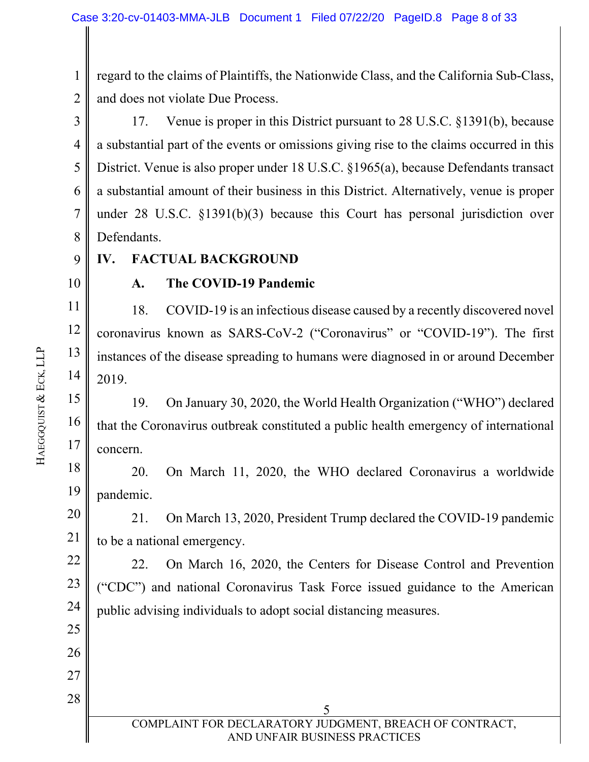1 2 regard to the claims of Plaintiffs, the Nationwide Class, and the California Sub-Class, and does not violate Due Process.

3 4 5 6 7 8 17. Venue is proper in this District pursuant to 28 U.S.C. §1391(b), because a substantial part of the events or omissions giving rise to the claims occurred in this District. Venue is also proper under 18 U.S.C. §1965(a), because Defendants transact a substantial amount of their business in this District. Alternatively, venue is proper under 28 U.S.C. §1391(b)(3) because this Court has personal jurisdiction over Defendants.

9 **IV. FACTUAL BACKGROUND** 

10

11

12

13

14

22

23

24

25

26

27

28

## **A. The COVID-19 Pandemic**

18. COVID-19 is an infectious disease caused by a recently discovered novel coronavirus known as SARS-CoV-2 ("Coronavirus" or "COVID-19"). The first instances of the disease spreading to humans were diagnosed in or around December 2019.

15 16 17 19. On January 30, 2020, the World Health Organization ("WHO") declared that the Coronavirus outbreak constituted a public health emergency of international concern.

18 19 20. On March 11, 2020, the WHO declared Coronavirus a worldwide pandemic.

20 21 21. On March 13, 2020, President Trump declared the COVID-19 pandemic to be a national emergency.

22. On March 16, 2020, the Centers for Disease Control and Prevention ("CDC") and national Coronavirus Task Force issued guidance to the American public advising individuals to adopt social distancing measures.

 $\sim$  5 COMPLAINT FOR DECLARATORY JUDGMENT, BREACH OF CONTRACT, AND UNFAIR BUSINESS PRACTICES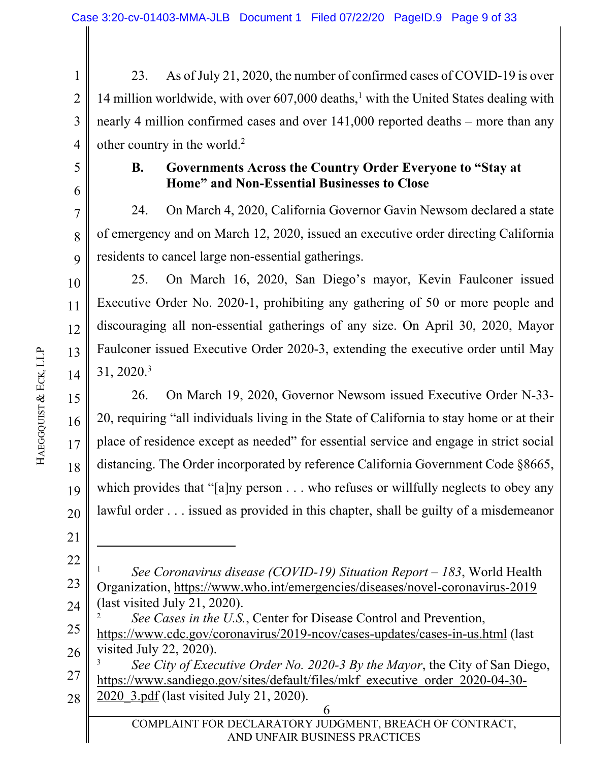1 2 3 4 23. As of July 21, 2020, the number of confirmed cases of COVID-19 is over 14 million worldwide, with over 607,000 deaths,<sup>1</sup> with the United States dealing with nearly 4 million confirmed cases and over 141,000 reported deaths – more than any other country in the world.<sup>2</sup>

5 6

7

8

9

10

11

12

13

14

#### **B. Governments Across the Country Order Everyone to "Stay at Home" and Non-Essential Businesses to Close**

24. On March 4, 2020, California Governor Gavin Newsom declared a state of emergency and on March 12, 2020, issued an executive order directing California residents to cancel large non-essential gatherings.

25. On March 16, 2020, San Diego's mayor, Kevin Faulconer issued Executive Order No. 2020-1, prohibiting any gathering of 50 or more people and discouraging all non-essential gatherings of any size. On April 30, 2020, Mayor Faulconer issued Executive Order 2020-3, extending the executive order until May 31, 2020.3

15 16 17 18 19 20 26. On March 19, 2020, Governor Newsom issued Executive Order N-33- 20, requiring "all individuals living in the State of California to stay home or at their place of residence except as needed" for essential service and engage in strict social distancing. The Order incorporated by reference California Government Code §8665, which provides that "[a]ny person . . . who refuses or willfully neglects to obey any lawful order . . . issued as provided in this chapter, shall be guilty of a misdemeanor

- 21 22
- 23 24 1 *See Coronavirus disease (COVID-19) Situation Report – 183*, World Health Organization, https://www.who.int/emergencies/diseases/novel-coronavirus-2019 (last visited July 21, 2020).

<sup>25</sup>  26 2 *See Cases in the U.S.*, Center for Disease Control and Prevention, https://www.cdc.gov/coronavirus/2019-ncov/cases-updates/cases-in-us.html (last visited July 22, 2020).

<sup>27</sup>  28 3 *See City of Executive Order No. 2020-3 By the Mayor*, the City of San Diego, https://www.sandiego.gov/sites/default/files/mkf\_executive\_order\_2020-04-30- 2020\_3.pdf (last visited July 21, 2020).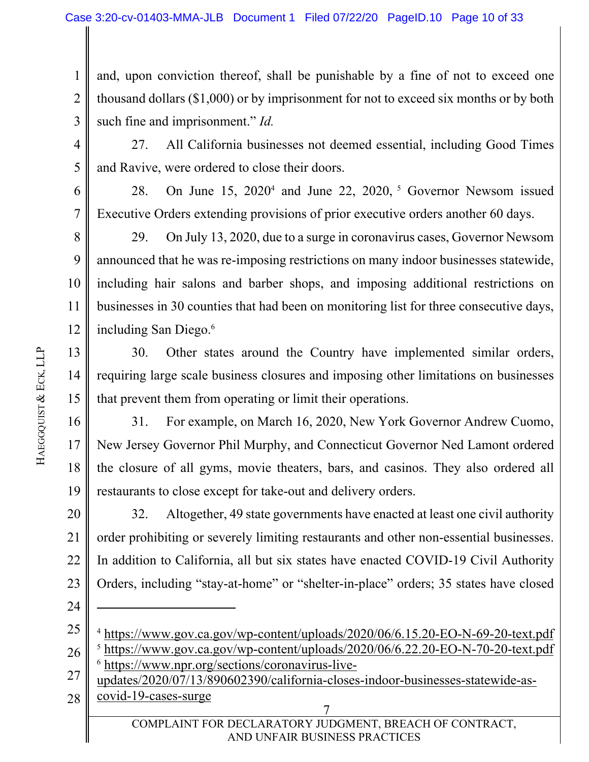1 2 3 and, upon conviction thereof, shall be punishable by a fine of not to exceed one thousand dollars (\$1,000) or by imprisonment for not to exceed six months or by both such fine and imprisonment." *Id.*

27. All California businesses not deemed essential, including Good Times and Ravive, were ordered to close their doors.

6 7 28. On June  $15$ ,  $2020^4$  and June 22,  $2020$ , <sup>5</sup> Governor Newsom issued Executive Orders extending provisions of prior executive orders another 60 days.

8 9 10 11 12 29. On July 13, 2020, due to a surge in coronavirus cases, Governor Newsom announced that he was re-imposing restrictions on many indoor businesses statewide, including hair salons and barber shops, and imposing additional restrictions on businesses in 30 counties that had been on monitoring list for three consecutive days, including San Diego.6

30. Other states around the Country have implemented similar orders, requiring large scale business closures and imposing other limitations on businesses that prevent them from operating or limit their operations.

16 17 18 19 31. For example, on March 16, 2020, New York Governor Andrew Cuomo, New Jersey Governor Phil Murphy, and Connecticut Governor Ned Lamont ordered the closure of all gyms, movie theaters, bars, and casinos. They also ordered all restaurants to close except for take-out and delivery orders.

20 21 22 23 32. Altogether, 49 state governments have enacted at least one civil authority order prohibiting or severely limiting restaurants and other non-essential businesses. In addition to California, all but six states have enacted COVID-19 Civil Authority Orders, including "stay-at-home" or "shelter-in-place" orders; 35 states have closed

25 <sup>4</sup> https://www.gov.ca.gov/wp-content/uploads/2020/06/6.15.20-EO-N-69-20-text.pdf

- 27 6 https://www.npr.org/sections/coronavirus-live-
- 28 updates/2020/07/13/890602390/california-closes-indoor-businesses-statewide-ascovid-19-cases-surge

 7 COMPLAINT FOR DECLARATORY JUDGMENT, BREACH OF CONTRACT, AND UNFAIR BUSINESS PRACTICES

4

5

13

14

15

<sup>26</sup>  <sup>5</sup> https://www.gov.ca.gov/wp-content/uploads/2020/06/6.22.20-EO-N-70-20-text.pdf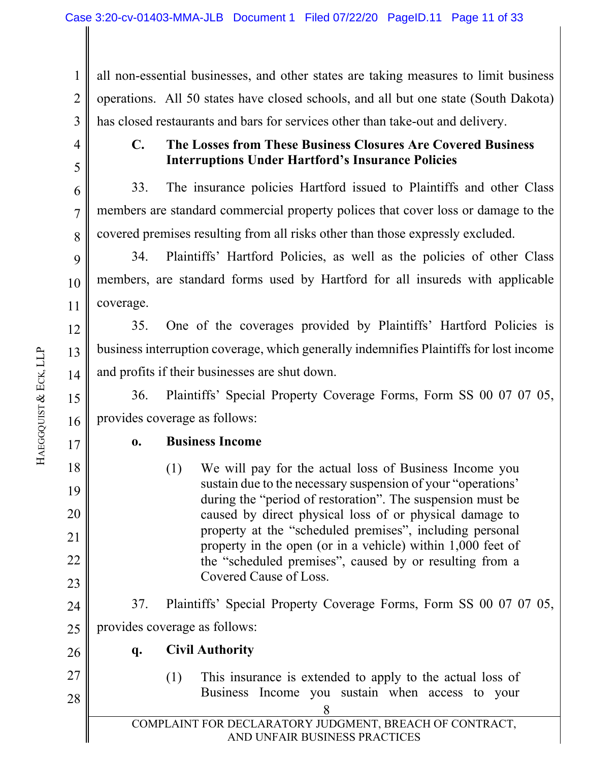1 2 3 all non-essential businesses, and other states are taking measures to limit business operations. All 50 states have closed schools, and all but one state (South Dakota) has closed restaurants and bars for services other than take-out and delivery.

4 5

6

7

8

## **C. The Losses from These Business Closures Are Covered Business Interruptions Under Hartford's Insurance Policies**

33. The insurance policies Hartford issued to Plaintiffs and other Class members are standard commercial property polices that cover loss or damage to the covered premises resulting from all risks other than those expressly excluded.

9 10 11 34. Plaintiffs' Hartford Policies, as well as the policies of other Class members, are standard forms used by Hartford for all insureds with applicable coverage.

12 13 14 35. One of the coverages provided by Plaintiffs' Hartford Policies is business interruption coverage, which generally indemnifies Plaintiffs for lost income and profits if their businesses are shut down.

15 16 36. Plaintiffs' Special Property Coverage Forms, Form SS 00 07 07 05, provides coverage as follows:

### **o. Business Income**

(1) We will pay for the actual loss of Business Income you sustain due to the necessary suspension of your "operations' during the "period of restoration". The suspension must be caused by direct physical loss of or physical damage to property at the "scheduled premises", including personal property in the open (or in a vehicle) within 1,000 feet of the "scheduled premises", caused by or resulting from a Covered Cause of Loss.

37. Plaintiffs' Special Property Coverage Forms, Form SS 00 07 07 05, provides coverage as follows:

26

27

25

## **q. Civil Authority**

- 28
- (1) This insurance is extended to apply to the actual loss of Business Income you sustain when access to your

17

18

19

20

21

22

23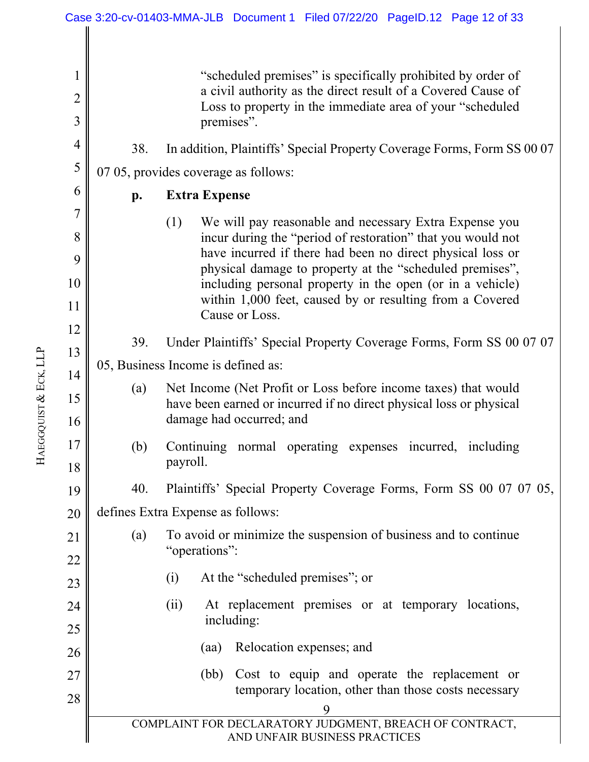9 COMPLAINT FOR DECLARATORY JUDGMENT, BREACH OF CONTRACT, AND UNFAIR BUSINESS PRACTICES 1 2 3 4 5 6 7 8 9 10 11 12 13 14 15 16 17 18 19 20 21 22 23 24 25 26 27 28 "scheduled premises" is specifically prohibited by order of a civil authority as the direct result of a Covered Cause of Loss to property in the immediate area of your "scheduled premises". 38. In addition, Plaintiffs' Special Property Coverage Forms, Form SS 00 07 07 05, provides coverage as follows: **p. Extra Expense**  (1) We will pay reasonable and necessary Extra Expense you incur during the "period of restoration" that you would not have incurred if there had been no direct physical loss or physical damage to property at the "scheduled premises", including personal property in the open (or in a vehicle) within 1,000 feet, caused by or resulting from a Covered Cause or Loss. 39. Under Plaintiffs' Special Property Coverage Forms, Form SS 00 07 07 05, Business Income is defined as: (a) Net Income (Net Profit or Loss before income taxes) that would have been earned or incurred if no direct physical loss or physical damage had occurred; and (b) Continuing normal operating expenses incurred, including payroll. 40. Plaintiffs' Special Property Coverage Forms, Form SS 00 07 07 05, defines Extra Expense as follows: (a) To avoid or minimize the suspension of business and to continue "operations": (i) At the "scheduled premises"; or (ii) At replacement premises or at temporary locations, including: (aa) Relocation expenses; and (bb) Cost to equip and operate the replacement or temporary location, other than those costs necessary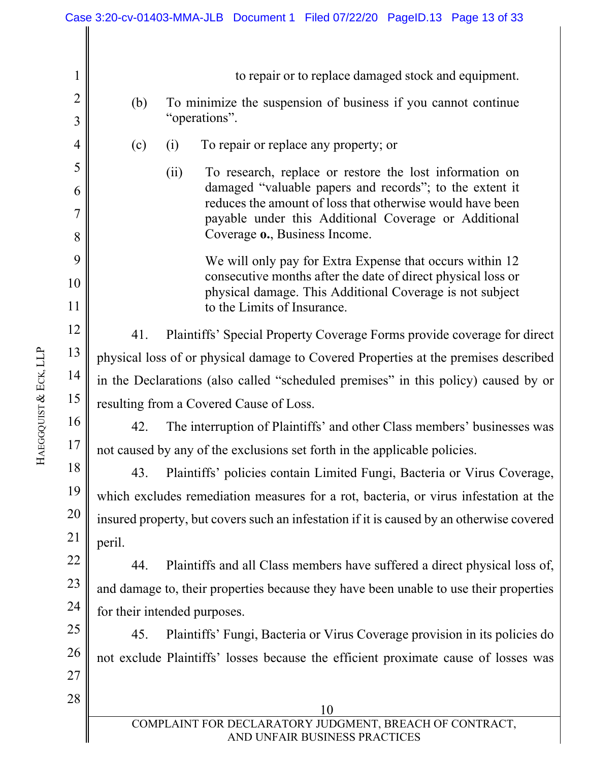| Case 3:20-cv-01403-MMA-JLB Document 1 Filed 07/22/20 PageID.13 Page 13 of 33 |                                                                                                                          |  |
|------------------------------------------------------------------------------|--------------------------------------------------------------------------------------------------------------------------|--|
|                                                                              |                                                                                                                          |  |
| $\mathbf 1$                                                                  | to repair or to replace damaged stock and equipment.                                                                     |  |
| $\overline{2}$                                                               |                                                                                                                          |  |
| 3                                                                            | To minimize the suspension of business if you cannot continue<br>(b)<br>"operations".                                    |  |
| 4                                                                            | To repair or replace any property; or<br>(c)<br>(i)                                                                      |  |
| 5                                                                            | (ii)<br>To research, replace or restore the lost information on                                                          |  |
| 6                                                                            | damaged "valuable papers and records"; to the extent it                                                                  |  |
| 7                                                                            | reduces the amount of loss that otherwise would have been<br>payable under this Additional Coverage or Additional        |  |
| 8                                                                            | Coverage o., Business Income.                                                                                            |  |
| 9                                                                            | We will only pay for Extra Expense that occurs within 12                                                                 |  |
| 10                                                                           | consecutive months after the date of direct physical loss or<br>physical damage. This Additional Coverage is not subject |  |
| 11                                                                           | to the Limits of Insurance.                                                                                              |  |
| 12                                                                           | Plaintiffs' Special Property Coverage Forms provide coverage for direct<br>41.                                           |  |
| 13                                                                           | physical loss of or physical damage to Covered Properties at the premises described                                      |  |
| 14                                                                           | in the Declarations (also called "scheduled premises" in this policy) caused by or                                       |  |
| 15                                                                           | resulting from a Covered Cause of Loss.                                                                                  |  |
| 16                                                                           | 42.<br>The interruption of Plaintiffs' and other Class members' businesses was                                           |  |
| 17                                                                           | not caused by any of the exclusions set forth in the applicable policies.                                                |  |
| 18                                                                           | 43.<br>Plaintiffs' policies contain Limited Fungi, Bacteria or Virus Coverage,                                           |  |
| 19                                                                           | which excludes remediation measures for a rot, bacteria, or virus infestation at the                                     |  |
| 20                                                                           | insured property, but covers such an infestation if it is caused by an otherwise covered                                 |  |
| 21                                                                           | peril.                                                                                                                   |  |
| 22                                                                           | Plaintiffs and all Class members have suffered a direct physical loss of,<br>44.                                         |  |
| 23                                                                           | and damage to, their properties because they have been unable to use their properties                                    |  |
| 24                                                                           | for their intended purposes.                                                                                             |  |
| 25<br>26                                                                     | 45.<br>Plaintiffs' Fungi, Bacteria or Virus Coverage provision in its policies do                                        |  |
| 27                                                                           | not exclude Plaintiffs' losses because the efficient proximate cause of losses was                                       |  |
| 28                                                                           |                                                                                                                          |  |
|                                                                              | 10                                                                                                                       |  |
|                                                                              | COMPLAINT FOR DECLARATORY JUDGMENT, BREACH OF CONTRACT,<br>AND UNFAIR BUSINESS PRACTICES                                 |  |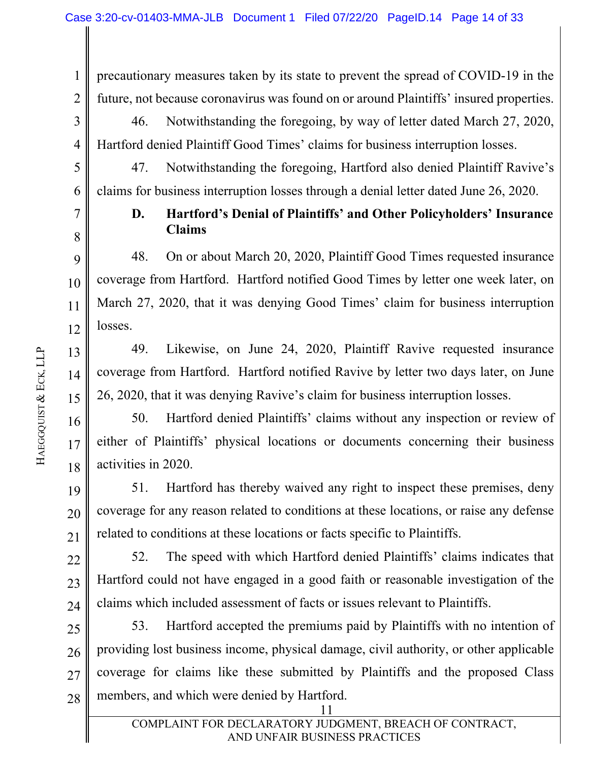precautionary measures taken by its state to prevent the spread of COVID-19 in the future, not because coronavirus was found on or around Plaintiffs' insured properties.

3 4 46. Notwithstanding the foregoing, by way of letter dated March 27, 2020, Hartford denied Plaintiff Good Times' claims for business interruption losses.

47. Notwithstanding the foregoing, Hartford also denied Plaintiff Ravive's claims for business interruption losses through a denial letter dated June 26, 2020.

7

1

2

5

6

8

9

10

11

12

13

14

15

21

## **D. Hartford's Denial of Plaintiffs' and Other Policyholders' Insurance Claims**

48. On or about March 20, 2020, Plaintiff Good Times requested insurance coverage from Hartford. Hartford notified Good Times by letter one week later, on March 27, 2020, that it was denying Good Times' claim for business interruption losses.

49. Likewise, on June 24, 2020, Plaintiff Ravive requested insurance coverage from Hartford. Hartford notified Ravive by letter two days later, on June 26, 2020, that it was denying Ravive's claim for business interruption losses.

16 17 18 50. Hartford denied Plaintiffs' claims without any inspection or review of either of Plaintiffs' physical locations or documents concerning their business activities in 2020.

19 20 51. Hartford has thereby waived any right to inspect these premises, deny coverage for any reason related to conditions at these locations, or raise any defense related to conditions at these locations or facts specific to Plaintiffs.

22 23 24 52. The speed with which Hartford denied Plaintiffs' claims indicates that Hartford could not have engaged in a good faith or reasonable investigation of the claims which included assessment of facts or issues relevant to Plaintiffs.

11 25 26 27 28 53. Hartford accepted the premiums paid by Plaintiffs with no intention of providing lost business income, physical damage, civil authority, or other applicable coverage for claims like these submitted by Plaintiffs and the proposed Class members, and which were denied by Hartford.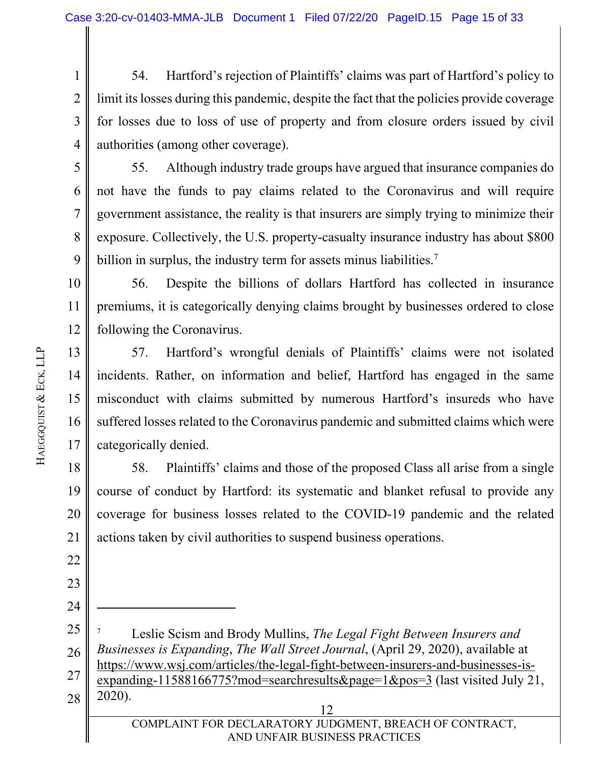1 2 3 4 54. Hartford's rejection of Plaintiffs' claims was part of Hartford's policy to limit its losses during this pandemic, despite the fact that the policies provide coverage for losses due to loss of use of property and from closure orders issued by civil authorities (among other coverage).

5 6 7

8

9

55. Although industry trade groups have argued that insurance companies do not have the funds to pay claims related to the Coronavirus and will require government assistance, the reality is that insurers are simply trying to minimize their exposure. Collectively, the U.S. property-casualty insurance industry has about \$800 billion in surplus, the industry term for assets minus liabilities.<sup>7</sup>

10 11 12 56. Despite the billions of dollars Hartford has collected in insurance premiums, it is categorically denying claims brought by businesses ordered to close following the Coronavirus.

13 14 15 16 17 57. Hartford's wrongful denials of Plaintiffs' claims were not isolated incidents. Rather, on information and belief, Hartford has engaged in the same misconduct with claims submitted by numerous Hartford's insureds who have suffered losses related to the Coronavirus pandemic and submitted claims which were categorically denied.

18 19 20 21 58. Plaintiffs' claims and those of the proposed Class all arise from a single course of conduct by Hartford: its systematic and blanket refusal to provide any coverage for business losses related to the COVID-19 pandemic and the related actions taken by civil authorities to suspend business operations.

28

22

23

<sup>25</sup>  26 7 Leslie Scism and Brody Mullins, *The Legal Fight Between Insurers and Businesses is Expanding*, *The Wall Street Journal*, (April 29, 2020), available at https://www.wsj.com/articles/the-legal-fight-between-insurers-and-businesses-is-

<sup>27</sup>  expanding-11588166775?mod=searchresults&page=1&pos=3 (last visited July 21, 2020).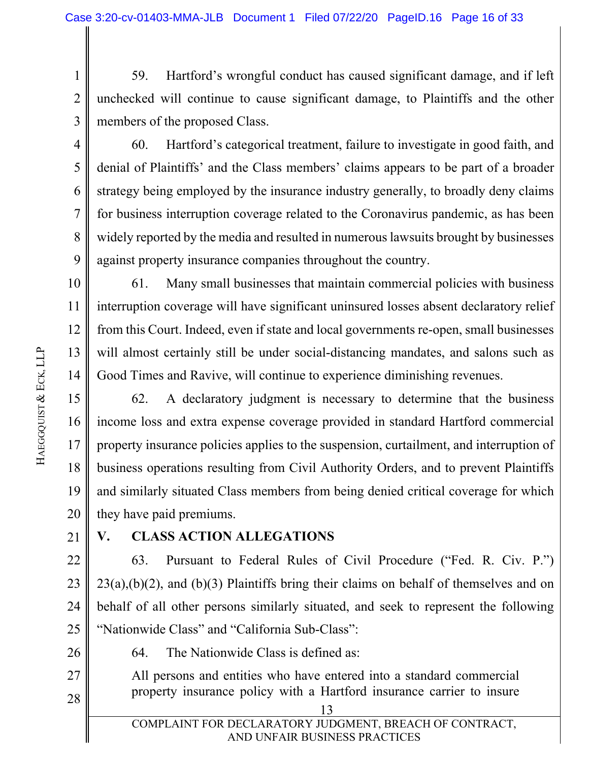1 2 3 59. Hartford's wrongful conduct has caused significant damage, and if left unchecked will continue to cause significant damage, to Plaintiffs and the other members of the proposed Class.

4

5

6

7

8

9

60. Hartford's categorical treatment, failure to investigate in good faith, and denial of Plaintiffs' and the Class members' claims appears to be part of a broader strategy being employed by the insurance industry generally, to broadly deny claims for business interruption coverage related to the Coronavirus pandemic, as has been widely reported by the media and resulted in numerous lawsuits brought by businesses against property insurance companies throughout the country.

10 11 12 13 14 61. Many small businesses that maintain commercial policies with business interruption coverage will have significant uninsured losses absent declaratory relief from this Court. Indeed, even if state and local governments re-open, small businesses will almost certainly still be under social-distancing mandates, and salons such as Good Times and Ravive, will continue to experience diminishing revenues.

15 16 17 18 19 20 62. A declaratory judgment is necessary to determine that the business income loss and extra expense coverage provided in standard Hartford commercial property insurance policies applies to the suspension, curtailment, and interruption of business operations resulting from Civil Authority Orders, and to prevent Plaintiffs and similarly situated Class members from being denied critical coverage for which they have paid premiums.

21

## **V. CLASS ACTION ALLEGATIONS**

22 23 24 25 63. Pursuant to Federal Rules of Civil Procedure ("Fed. R. Civ. P.")  $23(a)$ ,(b)(2), and (b)(3) Plaintiffs bring their claims on behalf of themselves and on behalf of all other persons similarly situated, and seek to represent the following "Nationwide Class" and "California Sub-Class":

26

64. The Nationwide Class is defined as:

27 28 All persons and entities who have entered into a standard commercial property insurance policy with a Hartford insurance carrier to insure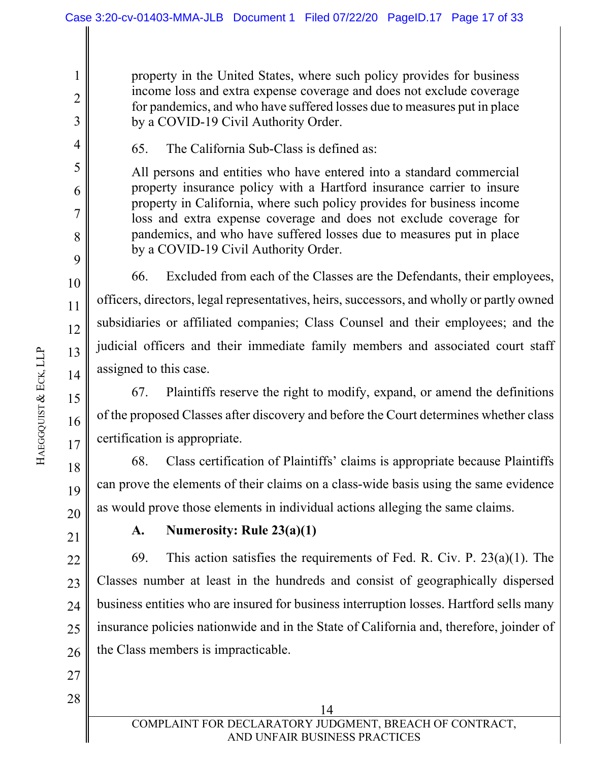property in the United States, where such policy provides for business income loss and extra expense coverage and does not exclude coverage for pandemics, and who have suffered losses due to measures put in place by a COVID-19 Civil Authority Order.

65. The California Sub-Class is defined as:

All persons and entities who have entered into a standard commercial property insurance policy with a Hartford insurance carrier to insure property in California, where such policy provides for business income loss and extra expense coverage and does not exclude coverage for pandemics, and who have suffered losses due to measures put in place by a COVID-19 Civil Authority Order.

66. Excluded from each of the Classes are the Defendants, their employees, officers, directors, legal representatives, heirs, successors, and wholly or partly owned subsidiaries or affiliated companies; Class Counsel and their employees; and the judicial officers and their immediate family members and associated court staff assigned to this case.

67. Plaintiffs reserve the right to modify, expand, or amend the definitions of the proposed Classes after discovery and before the Court determines whether class certification is appropriate.

18 19 68. Class certification of Plaintiffs' claims is appropriate because Plaintiffs can prove the elements of their claims on a class-wide basis using the same evidence as would prove those elements in individual actions alleging the same claims.

21

20

27

28

1

2

3

4

5

6

7

8

9

10

11

12

13

14

15

16

17

## **A. Numerosity: Rule 23(a)(1)**

22 23 24 25 26 69. This action satisfies the requirements of Fed. R. Civ. P.  $23(a)(1)$ . The Classes number at least in the hundreds and consist of geographically dispersed business entities who are insured for business interruption losses. Hartford sells many insurance policies nationwide and in the State of California and, therefore, joinder of the Class members is impracticable.

 14 COMPLAINT FOR DECLARATORY JUDGMENT, BREACH OF CONTRACT, AND UNFAIR BUSINESS PRACTICES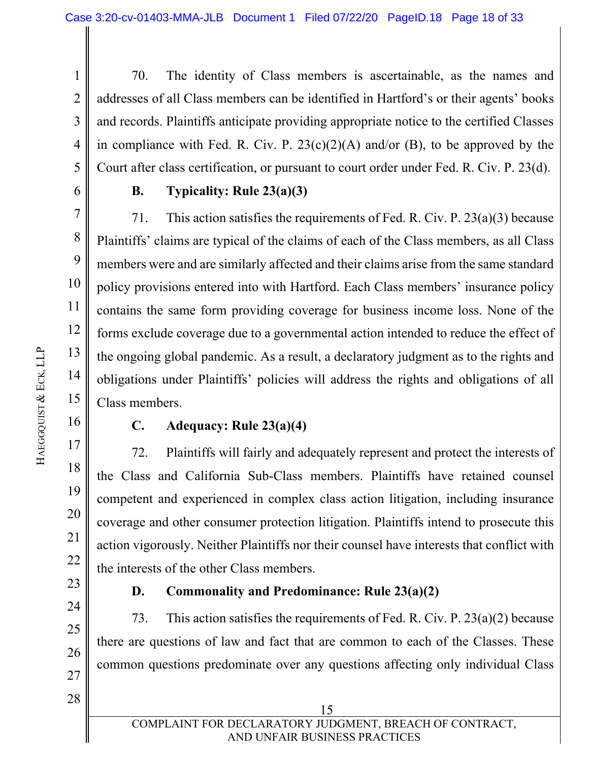1 2 3 4 5 70. The identity of Class members is ascertainable, as the names and addresses of all Class members can be identified in Hartford's or their agents' books and records. Plaintiffs anticipate providing appropriate notice to the certified Classes in compliance with Fed. R. Civ. P.  $23(c)(2)(A)$  and/or (B), to be approved by the Court after class certification, or pursuant to court order under Fed. R. Civ. P. 23(d).

6

7

8

9

10

11

12

13

14

15

16

17

18

19

20

21

22

23

24

25

26

27

### **B. Typicality: Rule 23(a)(3)**

71. This action satisfies the requirements of Fed. R. Civ. P. 23(a)(3) because Plaintiffs' claims are typical of the claims of each of the Class members, as all Class members were and are similarly affected and their claims arise from the same standard policy provisions entered into with Hartford. Each Class members' insurance policy contains the same form providing coverage for business income loss. None of the forms exclude coverage due to a governmental action intended to reduce the effect of the ongoing global pandemic. As a result, a declaratory judgment as to the rights and obligations under Plaintiffs' policies will address the rights and obligations of all Class members.

#### **C. Adequacy: Rule 23(a)(4)**

72. Plaintiffs will fairly and adequately represent and protect the interests of the Class and California Sub-Class members. Plaintiffs have retained counsel competent and experienced in complex class action litigation, including insurance coverage and other consumer protection litigation. Plaintiffs intend to prosecute this action vigorously. Neither Plaintiffs nor their counsel have interests that conflict with the interests of the other Class members.

## **D. Commonality and Predominance: Rule 23(a)(2)**

73. This action satisfies the requirements of Fed. R. Civ. P. 23(a)(2) because there are questions of law and fact that are common to each of the Classes. These common questions predominate over any questions affecting only individual Class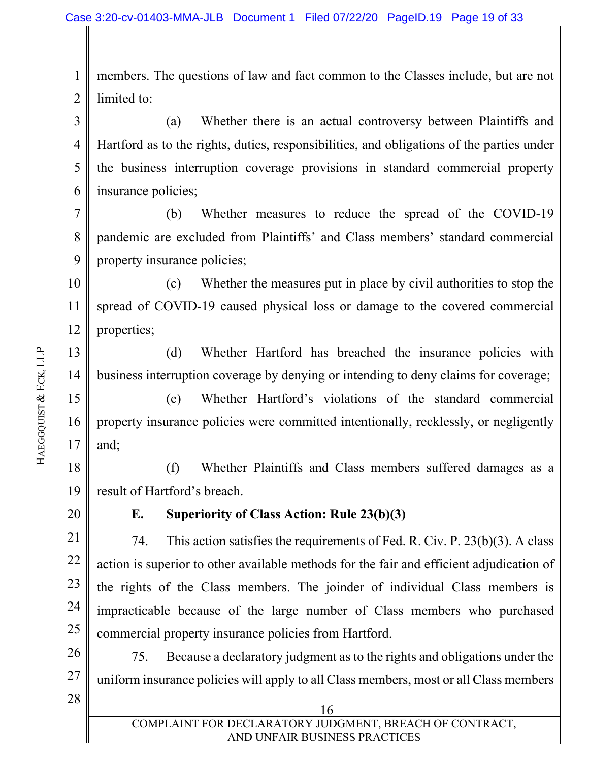1 2 members. The questions of law and fact common to the Classes include, but are not limited to:

3 4 5 6 (a) Whether there is an actual controversy between Plaintiffs and Hartford as to the rights, duties, responsibilities, and obligations of the parties under the business interruption coverage provisions in standard commercial property insurance policies;

7 8 9 (b) Whether measures to reduce the spread of the COVID-19 pandemic are excluded from Plaintiffs' and Class members' standard commercial property insurance policies;

10 11 12 (c) Whether the measures put in place by civil authorities to stop the spread of COVID-19 caused physical loss or damage to the covered commercial properties;

13 14 (d) Whether Hartford has breached the insurance policies with business interruption coverage by denying or intending to deny claims for coverage;

15 16 17 (e) Whether Hartford's violations of the standard commercial property insurance policies were committed intentionally, recklessly, or negligently and;

18 19 (f) Whether Plaintiffs and Class members suffered damages as a result of Hartford's breach.

20

### **E. Superiority of Class Action: Rule 23(b)(3)**

21 22 23 24 25 74. This action satisfies the requirements of Fed. R. Civ. P. 23(b)(3). A class action is superior to other available methods for the fair and efficient adjudication of the rights of the Class members. The joinder of individual Class members is impracticable because of the large number of Class members who purchased commercial property insurance policies from Hartford.

26 27 75. Because a declaratory judgment as to the rights and obligations under the uniform insurance policies will apply to all Class members, most or all Class members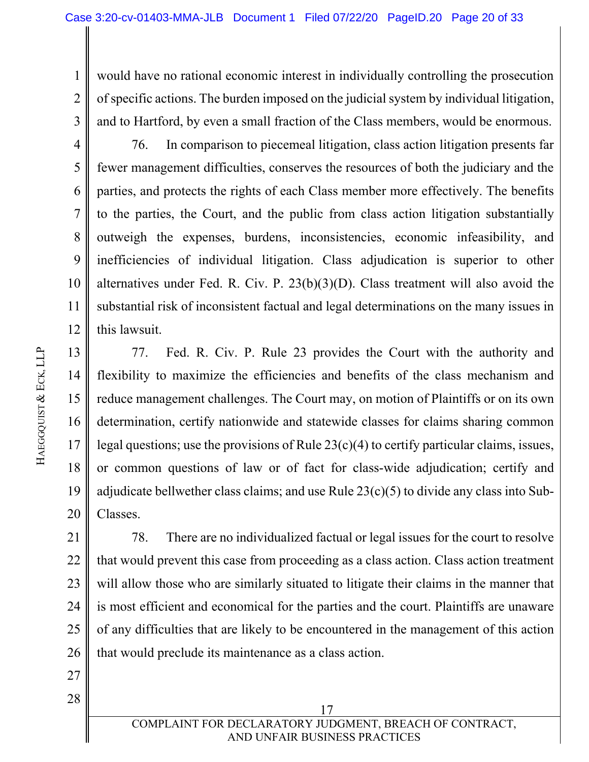1 2 3 would have no rational economic interest in individually controlling the prosecution of specific actions. The burden imposed on the judicial system by individual litigation, and to Hartford, by even a small fraction of the Class members, would be enormous.

76. In comparison to piecemeal litigation, class action litigation presents far fewer management difficulties, conserves the resources of both the judiciary and the parties, and protects the rights of each Class member more effectively. The benefits to the parties, the Court, and the public from class action litigation substantially outweigh the expenses, burdens, inconsistencies, economic infeasibility, and inefficiencies of individual litigation. Class adjudication is superior to other alternatives under Fed. R. Civ. P. 23(b)(3)(D). Class treatment will also avoid the substantial risk of inconsistent factual and legal determinations on the many issues in this lawsuit.

13 14 15 16 17 18 19 20 77. Fed. R. Civ. P. Rule 23 provides the Court with the authority and flexibility to maximize the efficiencies and benefits of the class mechanism and reduce management challenges. The Court may, on motion of Plaintiffs or on its own determination, certify nationwide and statewide classes for claims sharing common legal questions; use the provisions of Rule 23(c)(4) to certify particular claims, issues, or common questions of law or of fact for class-wide adjudication; certify and adjudicate bellwether class claims; and use Rule  $23(c)(5)$  to divide any class into Sub-Classes.

21 22 23 24 25 26 78. There are no individualized factual or legal issues for the court to resolve that would prevent this case from proceeding as a class action. Class action treatment will allow those who are similarly situated to litigate their claims in the manner that is most efficient and economical for the parties and the court. Plaintiffs are unaware of any difficulties that are likely to be encountered in the management of this action that would preclude its maintenance as a class action.

27 28

 17 COMPLAINT FOR DECLARATORY JUDGMENT, BREACH OF CONTRACT, AND UNFAIR BUSINESS PRACTICES

4

5

6

7

8

9

10

11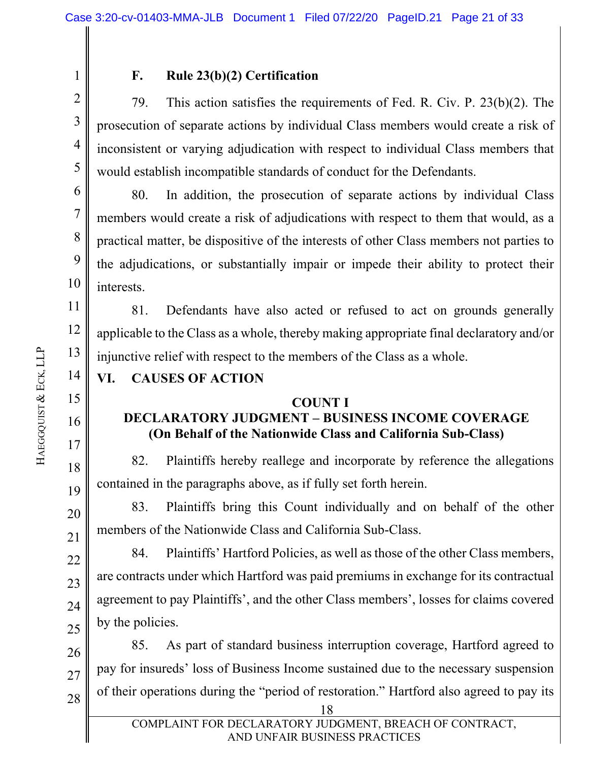2

3

4

5

6

7

8

9

10

11

12

13

14

15

16

17

18

19

20

21

22

23

24

25

1

## **F. Rule 23(b)(2) Certification**

79. This action satisfies the requirements of Fed. R. Civ. P. 23(b)(2). The prosecution of separate actions by individual Class members would create a risk of inconsistent or varying adjudication with respect to individual Class members that would establish incompatible standards of conduct for the Defendants.

80. In addition, the prosecution of separate actions by individual Class members would create a risk of adjudications with respect to them that would, as a practical matter, be dispositive of the interests of other Class members not parties to the adjudications, or substantially impair or impede their ability to protect their interests.

81. Defendants have also acted or refused to act on grounds generally applicable to the Class as a whole, thereby making appropriate final declaratory and/or injunctive relief with respect to the members of the Class as a whole.

# **VI. CAUSES OF ACTION**

## **COUNT I**

## **DECLARATORY JUDGMENT – BUSINESS INCOME COVERAGE (On Behalf of the Nationwide Class and California Sub-Class)**

82. Plaintiffs hereby reallege and incorporate by reference the allegations contained in the paragraphs above, as if fully set forth herein.

83. Plaintiffs bring this Count individually and on behalf of the other members of the Nationwide Class and California Sub-Class.

84. Plaintiffs' Hartford Policies, as well as those of the other Class members, are contracts under which Hartford was paid premiums in exchange for its contractual agreement to pay Plaintiffs', and the other Class members', losses for claims covered by the policies.

26 27 28 85. As part of standard business interruption coverage, Hartford agreed to pay for insureds' loss of Business Income sustained due to the necessary suspension of their operations during the "period of restoration." Hartford also agreed to pay its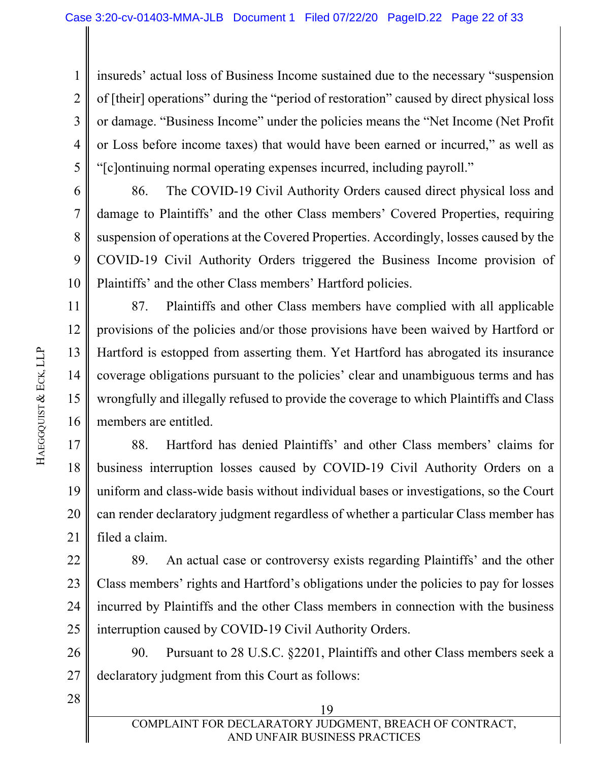1 2 3 4 5 insureds' actual loss of Business Income sustained due to the necessary "suspension of [their] operations" during the "period of restoration" caused by direct physical loss or damage. "Business Income" under the policies means the "Net Income (Net Profit or Loss before income taxes) that would have been earned or incurred," as well as "[c]ontinuing normal operating expenses incurred, including payroll."

6 7 8 9 10 86. The COVID-19 Civil Authority Orders caused direct physical loss and damage to Plaintiffs' and the other Class members' Covered Properties, requiring suspension of operations at the Covered Properties. Accordingly, losses caused by the COVID-19 Civil Authority Orders triggered the Business Income provision of Plaintiffs' and the other Class members' Hartford policies.

11 12 13 14 15 16 87. Plaintiffs and other Class members have complied with all applicable provisions of the policies and/or those provisions have been waived by Hartford or Hartford is estopped from asserting them. Yet Hartford has abrogated its insurance coverage obligations pursuant to the policies' clear and unambiguous terms and has wrongfully and illegally refused to provide the coverage to which Plaintiffs and Class members are entitled.

17 18 19 20 21 88. Hartford has denied Plaintiffs' and other Class members' claims for business interruption losses caused by COVID-19 Civil Authority Orders on a uniform and class-wide basis without individual bases or investigations, so the Court can render declaratory judgment regardless of whether a particular Class member has filed a claim.

22 23 24 25 89. An actual case or controversy exists regarding Plaintiffs' and the other Class members' rights and Hartford's obligations under the policies to pay for losses incurred by Plaintiffs and the other Class members in connection with the business interruption caused by COVID-19 Civil Authority Orders.

26 27 90. Pursuant to 28 U.S.C. §2201, Plaintiffs and other Class members seek a declaratory judgment from this Court as follows: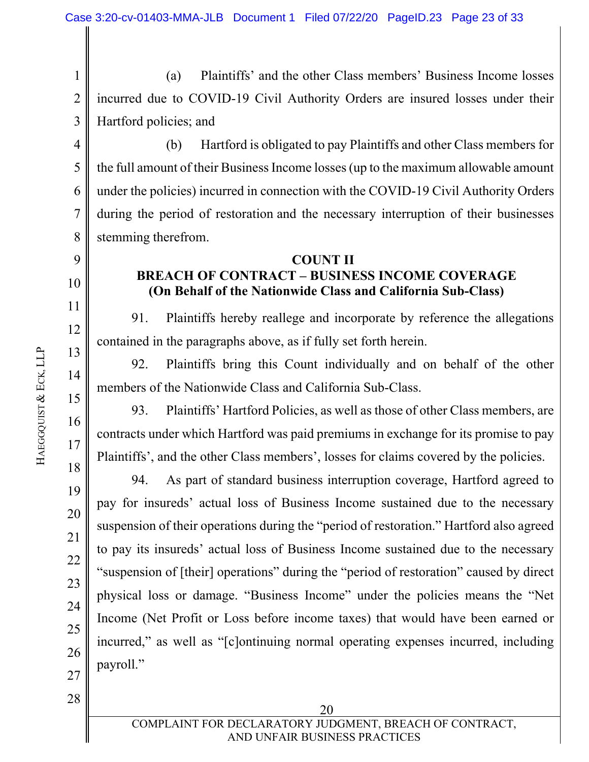1 2 3 (a) Plaintiffs' and the other Class members' Business Income losses incurred due to COVID-19 Civil Authority Orders are insured losses under their Hartford policies; and

4 5 6 7 8 (b) Hartford is obligated to pay Plaintiffs and other Class members for the full amount of their Business Income losses (up to the maximum allowable amount under the policies) incurred in connection with the COVID-19 Civil Authority Orders during the period of restoration and the necessary interruption of their businesses stemming therefrom.

#### **COUNT II BREACH OF CONTRACT – BUSINESS INCOME COVERAGE (On Behalf of the Nationwide Class and California Sub-Class)**

91. Plaintiffs hereby reallege and incorporate by reference the allegations contained in the paragraphs above, as if fully set forth herein.

92. Plaintiffs bring this Count individually and on behalf of the other members of the Nationwide Class and California Sub-Class.

93. Plaintiffs' Hartford Policies, as well as those of other Class members, are contracts under which Hartford was paid premiums in exchange for its promise to pay Plaintiffs', and the other Class members', losses for claims covered by the policies.

94. As part of standard business interruption coverage, Hartford agreed to pay for insureds' actual loss of Business Income sustained due to the necessary suspension of their operations during the "period of restoration." Hartford also agreed to pay its insureds' actual loss of Business Income sustained due to the necessary "suspension of [their] operations" during the "period of restoration" caused by direct physical loss or damage. "Business Income" under the policies means the "Net Income (Net Profit or Loss before income taxes) that would have been earned or incurred," as well as "[c]ontinuing normal operating expenses incurred, including payroll."

28

9

10

11

12

13

14

15

16

17

18

19

20

21

22

23

24

25

26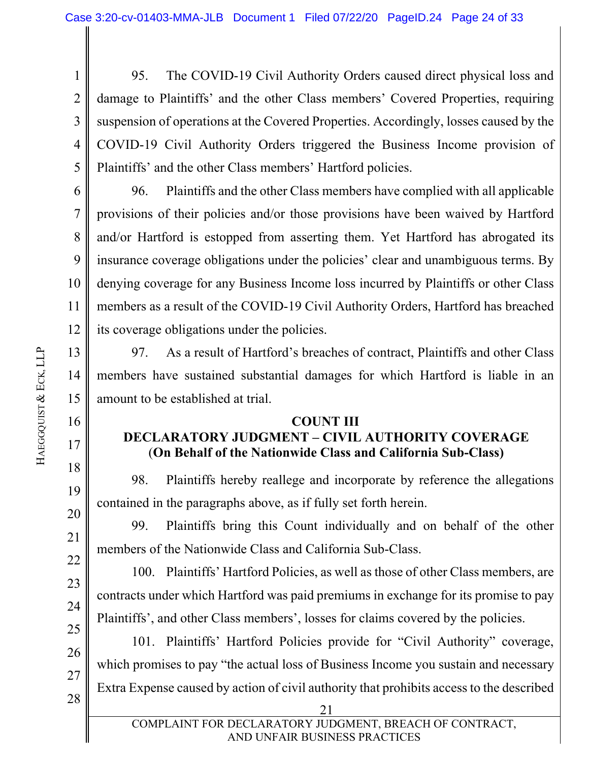1 2 3 4 5 95. The COVID-19 Civil Authority Orders caused direct physical loss and damage to Plaintiffs' and the other Class members' Covered Properties, requiring suspension of operations at the Covered Properties. Accordingly, losses caused by the COVID-19 Civil Authority Orders triggered the Business Income provision of Plaintiffs' and the other Class members' Hartford policies.

6 7 8 9 10 11 12 96. Plaintiffs and the other Class members have complied with all applicable provisions of their policies and/or those provisions have been waived by Hartford and/or Hartford is estopped from asserting them. Yet Hartford has abrogated its insurance coverage obligations under the policies' clear and unambiguous terms. By denying coverage for any Business Income loss incurred by Plaintiffs or other Class members as a result of the COVID-19 Civil Authority Orders, Hartford has breached its coverage obligations under the policies.

97. As a result of Hartford's breaches of contract, Plaintiffs and other Class members have sustained substantial damages for which Hartford is liable in an amount to be established at trial.

#### **COUNT III**

# **DECLARATORY JUDGMENT – CIVIL AUTHORITY COVERAGE** (**On Behalf of the Nationwide Class and California Sub-Class)**

98. Plaintiffs hereby reallege and incorporate by reference the allegations contained in the paragraphs above, as if fully set forth herein.

99. Plaintiffs bring this Count individually and on behalf of the other members of the Nationwide Class and California Sub-Class.

100. Plaintiffs' Hartford Policies, as well as those of other Class members, are contracts under which Hartford was paid premiums in exchange for its promise to pay Plaintiffs', and other Class members', losses for claims covered by the policies.

25 26 27 28 101. Plaintiffs' Hartford Policies provide for "Civil Authority" coverage, which promises to pay "the actual loss of Business Income you sustain and necessary Extra Expense caused by action of civil authority that prohibits access to the described

13

14

15

16

17

18

19

20

21

22

23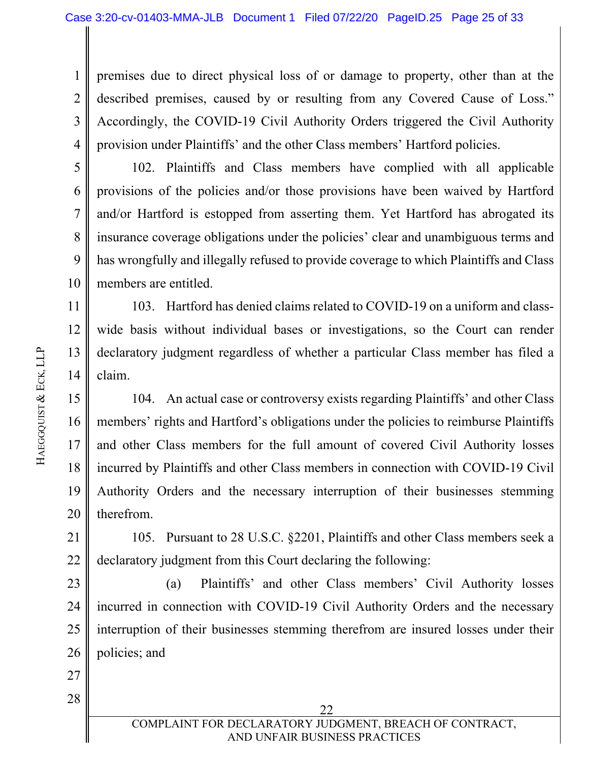1 2 3 4 premises due to direct physical loss of or damage to property, other than at the described premises, caused by or resulting from any Covered Cause of Loss." Accordingly, the COVID-19 Civil Authority Orders triggered the Civil Authority provision under Plaintiffs' and the other Class members' Hartford policies.

10 102. Plaintiffs and Class members have complied with all applicable provisions of the policies and/or those provisions have been waived by Hartford and/or Hartford is estopped from asserting them. Yet Hartford has abrogated its insurance coverage obligations under the policies' clear and unambiguous terms and has wrongfully and illegally refused to provide coverage to which Plaintiffs and Class members are entitled.

11 12 13 14 103. Hartford has denied claims related to COVID-19 on a uniform and classwide basis without individual bases or investigations, so the Court can render declaratory judgment regardless of whether a particular Class member has filed a claim.

15 16 17 18 19 20 104. An actual case or controversy exists regarding Plaintiffs' and other Class members' rights and Hartford's obligations under the policies to reimburse Plaintiffs and other Class members for the full amount of covered Civil Authority losses incurred by Plaintiffs and other Class members in connection with COVID-19 Civil Authority Orders and the necessary interruption of their businesses stemming therefrom.

21 22 105. Pursuant to 28 U.S.C. §2201, Plaintiffs and other Class members seek a declaratory judgment from this Court declaring the following:

23 24 25 26 (a) Plaintiffs' and other Class members' Civil Authority losses incurred in connection with COVID-19 Civil Authority Orders and the necessary interruption of their businesses stemming therefrom are insured losses under their policies; and

27

28

<u>22</u> COMPLAINT FOR DECLARATORY JUDGMENT, BREACH OF CONTRACT, AND UNFAIR BUSINESS PRACTICES

5

6

7

8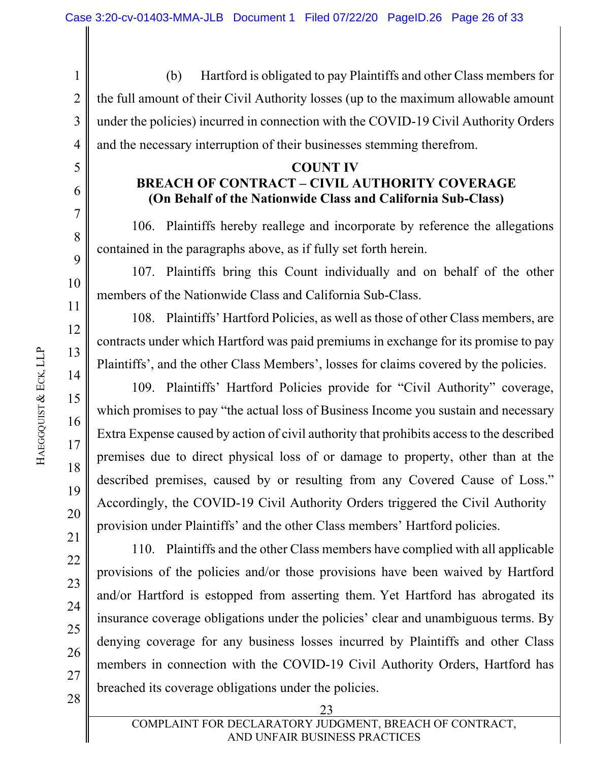1 2 3 4 (b) Hartford is obligated to pay Plaintiffs and other Class members for the full amount of their Civil Authority losses (up to the maximum allowable amount under the policies) incurred in connection with the COVID-19 Civil Authority Orders and the necessary interruption of their businesses stemming therefrom.

#### **COUNT IV**

# **BREACH OF CONTRACT – CIVIL AUTHORITY COVERAGE (On Behalf of the Nationwide Class and California Sub-Class)**

106. Plaintiffs hereby reallege and incorporate by reference the allegations contained in the paragraphs above, as if fully set forth herein.

107. Plaintiffs bring this Count individually and on behalf of the other members of the Nationwide Class and California Sub-Class.

108. Plaintiffs' Hartford Policies, as well as those of other Class members, are contracts under which Hartford was paid premiums in exchange for its promise to pay Plaintiffs', and the other Class Members', losses for claims covered by the policies.

109. Plaintiffs' Hartford Policies provide for "Civil Authority" coverage, which promises to pay "the actual loss of Business Income you sustain and necessary Extra Expense caused by action of civil authority that prohibits access to the described premises due to direct physical loss of or damage to property, other than at the described premises, caused by or resulting from any Covered Cause of Loss." Accordingly, the COVID-19 Civil Authority Orders triggered the Civil Authority provision under Plaintiffs' and the other Class members' Hartford policies.

110. Plaintiffs and the other Class members have complied with all applicable provisions of the policies and/or those provisions have been waived by Hartford and/or Hartford is estopped from asserting them. Yet Hartford has abrogated its insurance coverage obligations under the policies' clear and unambiguous terms. By denying coverage for any business losses incurred by Plaintiffs and other Class members in connection with the COVID-19 Civil Authority Orders, Hartford has breached its coverage obligations under the policies.

5

6

7

8

9

10

11

12

13

14

15

16

17

18

19

20

21

22

23

24

25

26

27

28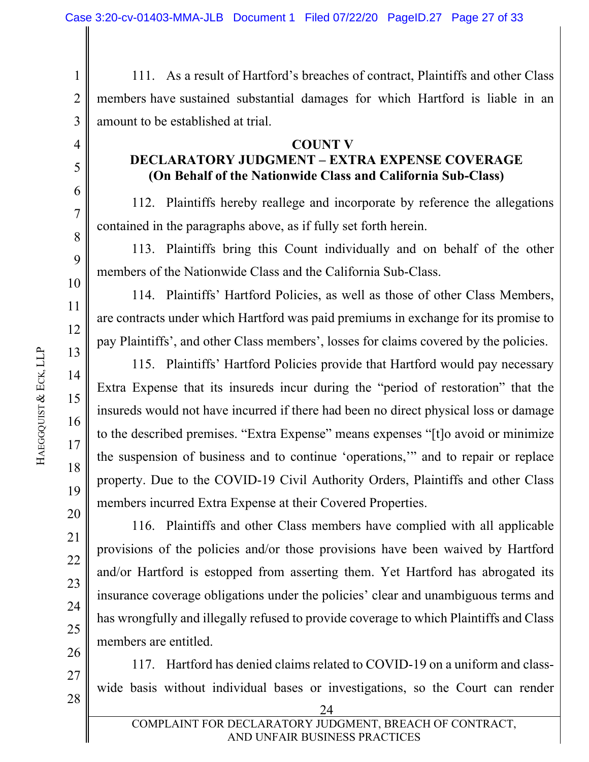1 2 3 111. As a result of Hartford's breaches of contract, Plaintiffs and other Class members have sustained substantial damages for which Hartford is liable in an amount to be established at trial.

#### **COUNT V**

## **DECLARATORY JUDGMENT – EXTRA EXPENSE COVERAGE (On Behalf of the Nationwide Class and California Sub-Class)**

112. Plaintiffs hereby reallege and incorporate by reference the allegations contained in the paragraphs above, as if fully set forth herein.

113. Plaintiffs bring this Count individually and on behalf of the other members of the Nationwide Class and the California Sub-Class.

114. Plaintiffs' Hartford Policies, as well as those of other Class Members, are contracts under which Hartford was paid premiums in exchange for its promise to pay Plaintiffs', and other Class members', losses for claims covered by the policies.

115. Plaintiffs' Hartford Policies provide that Hartford would pay necessary Extra Expense that its insureds incur during the "period of restoration" that the insureds would not have incurred if there had been no direct physical loss or damage to the described premises. "Extra Expense" means expenses "[t]o avoid or minimize the suspension of business and to continue 'operations,'" and to repair or replace property. Due to the COVID-19 Civil Authority Orders, Plaintiffs and other Class members incurred Extra Expense at their Covered Properties.

116. Plaintiffs and other Class members have complied with all applicable provisions of the policies and/or those provisions have been waived by Hartford and/or Hartford is estopped from asserting them. Yet Hartford has abrogated its insurance coverage obligations under the policies' clear and unambiguous terms and has wrongfully and illegally refused to provide coverage to which Plaintiffs and Class members are entitled.

26 28 117. Hartford has denied claims related to COVID-19 on a uniform and classwide basis without individual bases or investigations, so the Court can render

4

5

6

7

8

9

10

11

12

13

14

15

16

17

18

19

20

21

22

23

24

25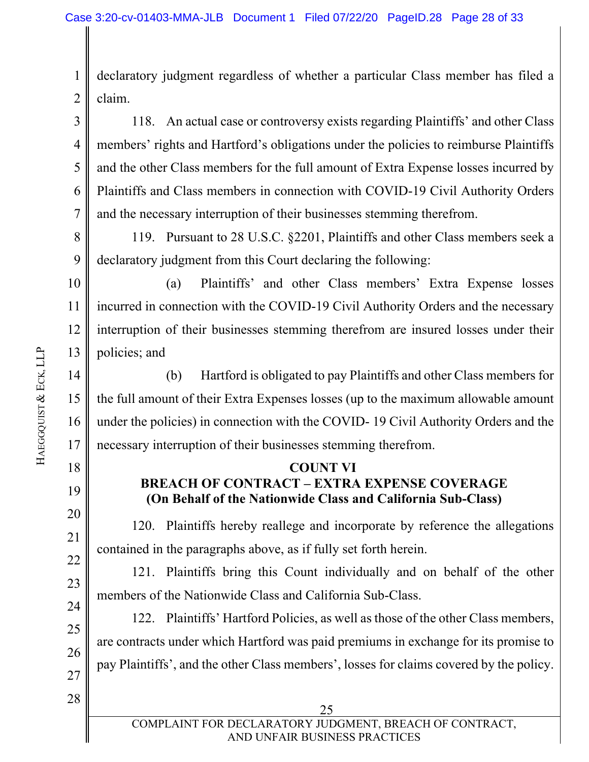1 2 declaratory judgment regardless of whether a particular Class member has filed a claim.

3 4 5 6 7 118. An actual case or controversy exists regarding Plaintiffs' and other Class members' rights and Hartford's obligations under the policies to reimburse Plaintiffs and the other Class members for the full amount of Extra Expense losses incurred by Plaintiffs and Class members in connection with COVID-19 Civil Authority Orders and the necessary interruption of their businesses stemming therefrom.

8 9 119. Pursuant to 28 U.S.C. §2201, Plaintiffs and other Class members seek a declaratory judgment from this Court declaring the following:

10 11 12 13 (a) Plaintiffs' and other Class members' Extra Expense losses incurred in connection with the COVID-19 Civil Authority Orders and the necessary interruption of their businesses stemming therefrom are insured losses under their policies; and

14 15 16 17 (b) Hartford is obligated to pay Plaintiffs and other Class members for the full amount of their Extra Expenses losses (up to the maximum allowable amount under the policies) in connection with the COVID- 19 Civil Authority Orders and the necessary interruption of their businesses stemming therefrom.

#### **COUNT VI BREACH OF CONTRACT – EXTRA EXPENSE COVERAGE (On Behalf of the Nationwide Class and California Sub-Class)**

120. Plaintiffs hereby reallege and incorporate by reference the allegations contained in the paragraphs above, as if fully set forth herein.

121. Plaintiffs bring this Count individually and on behalf of the other members of the Nationwide Class and California Sub-Class.

122. Plaintiffs' Hartford Policies, as well as those of the other Class members, are contracts under which Hartford was paid premiums in exchange for its promise to pay Plaintiffs', and the other Class members', losses for claims covered by the policy.

28

18

19

20

21

22

23

24

25

26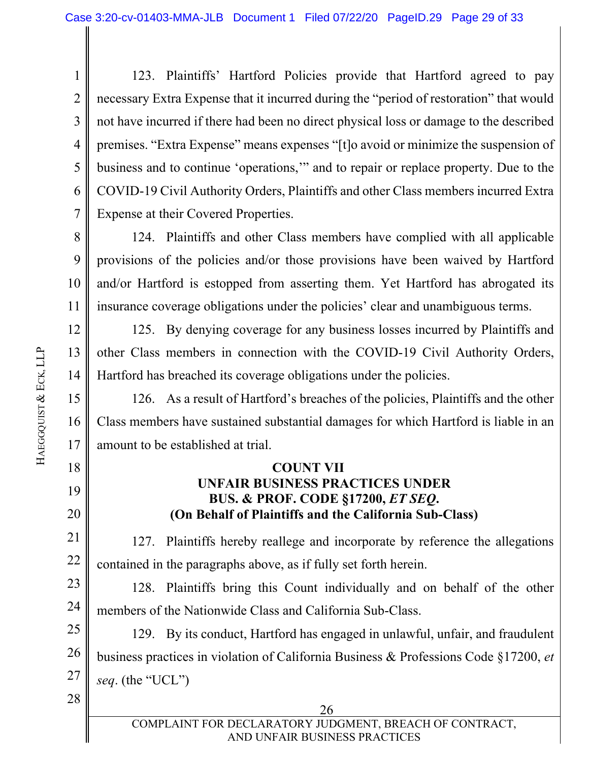1 2 3 4 5 6 7 123. Plaintiffs' Hartford Policies provide that Hartford agreed to pay necessary Extra Expense that it incurred during the "period of restoration" that would not have incurred if there had been no direct physical loss or damage to the described premises. "Extra Expense" means expenses "[t]o avoid or minimize the suspension of business and to continue 'operations,'" and to repair or replace property. Due to the COVID-19 Civil Authority Orders, Plaintiffs and other Class members incurred Extra Expense at their Covered Properties.

8 9 10 11 124. Plaintiffs and other Class members have complied with all applicable provisions of the policies and/or those provisions have been waived by Hartford and/or Hartford is estopped from asserting them. Yet Hartford has abrogated its insurance coverage obligations under the policies' clear and unambiguous terms.

12 13 14 125. By denying coverage for any business losses incurred by Plaintiffs and other Class members in connection with the COVID-19 Civil Authority Orders, Hartford has breached its coverage obligations under the policies.

15 16 17 126. As a result of Hartford's breaches of the policies, Plaintiffs and the other Class members have sustained substantial damages for which Hartford is liable in an amount to be established at trial.

## **COUNT VII UNFAIR BUSINESS PRACTICES UNDER BUS. & PROF. CODE §17200,** *ET SEQ***. (On Behalf of Plaintiffs and the California Sub-Class)**

22 127. Plaintiffs hereby reallege and incorporate by reference the allegations contained in the paragraphs above, as if fully set forth herein.

23 24 128. Plaintiffs bring this Count individually and on behalf of the other members of the Nationwide Class and California Sub-Class.

25 26 27 129. By its conduct, Hartford has engaged in unlawful, unfair, and fraudulent business practices in violation of California Business & Professions Code §17200, *et seq*. (the "UCL")

28

18

19

20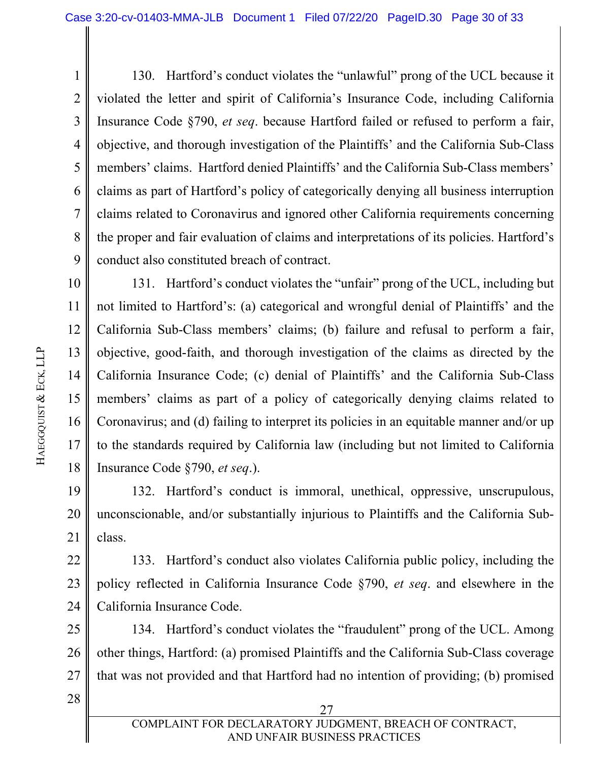1 2 3 4 5 6 7 8 9 130. Hartford's conduct violates the "unlawful" prong of the UCL because it violated the letter and spirit of California's Insurance Code, including California Insurance Code §790, *et seq*. because Hartford failed or refused to perform a fair, objective, and thorough investigation of the Plaintiffs' and the California Sub-Class members' claims. Hartford denied Plaintiffs' and the California Sub-Class members' claims as part of Hartford's policy of categorically denying all business interruption claims related to Coronavirus and ignored other California requirements concerning the proper and fair evaluation of claims and interpretations of its policies. Hartford's conduct also constituted breach of contract.

10 11 12 13 14 15 16 17 18 131. Hartford's conduct violates the "unfair" prong of the UCL, including but not limited to Hartford's: (a) categorical and wrongful denial of Plaintiffs' and the California Sub-Class members' claims; (b) failure and refusal to perform a fair, objective, good-faith, and thorough investigation of the claims as directed by the California Insurance Code; (c) denial of Plaintiffs' and the California Sub-Class members' claims as part of a policy of categorically denying claims related to Coronavirus; and (d) failing to interpret its policies in an equitable manner and/or up to the standards required by California law (including but not limited to California Insurance Code §790, *et seq*.).

19 20 21 132. Hartford's conduct is immoral, unethical, oppressive, unscrupulous, unconscionable, and/or substantially injurious to Plaintiffs and the California Subclass.

22 23 24 133. Hartford's conduct also violates California public policy, including the policy reflected in California Insurance Code §790, *et seq*. and elsewhere in the California Insurance Code.

25 26 27 134. Hartford's conduct violates the "fraudulent" prong of the UCL. Among other things, Hartford: (a) promised Plaintiffs and the California Sub-Class coverage that was not provided and that Hartford had no intention of providing; (b) promised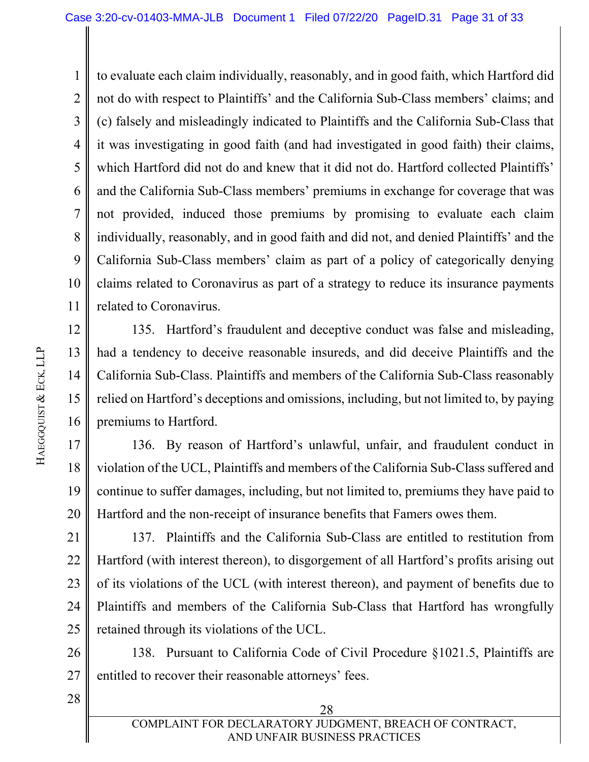1 2 3 4 5 6 7 8 9 10 11 to evaluate each claim individually, reasonably, and in good faith, which Hartford did not do with respect to Plaintiffs' and the California Sub-Class members' claims; and (c) falsely and misleadingly indicated to Plaintiffs and the California Sub-Class that it was investigating in good faith (and had investigated in good faith) their claims, which Hartford did not do and knew that it did not do. Hartford collected Plaintiffs' and the California Sub-Class members' premiums in exchange for coverage that was not provided, induced those premiums by promising to evaluate each claim individually, reasonably, and in good faith and did not, and denied Plaintiffs' and the California Sub-Class members' claim as part of a policy of categorically denying claims related to Coronavirus as part of a strategy to reduce its insurance payments related to Coronavirus.

12 13 14 15 16 135. Hartford's fraudulent and deceptive conduct was false and misleading, had a tendency to deceive reasonable insureds, and did deceive Plaintiffs and the California Sub-Class. Plaintiffs and members of the California Sub-Class reasonably relied on Hartford's deceptions and omissions, including, but not limited to, by paying premiums to Hartford.

17 18 19 20 136. By reason of Hartford's unlawful, unfair, and fraudulent conduct in violation of the UCL, Plaintiffs and members of the California Sub-Class suffered and continue to suffer damages, including, but not limited to, premiums they have paid to Hartford and the non-receipt of insurance benefits that Famers owes them.

21 22 23 24 25 137. Plaintiffs and the California Sub-Class are entitled to restitution from Hartford (with interest thereon), to disgorgement of all Hartford's profits arising out of its violations of the UCL (with interest thereon), and payment of benefits due to Plaintiffs and members of the California Sub-Class that Hartford has wrongfully retained through its violations of the UCL.

26 27 138. Pursuant to California Code of Civil Procedure §1021.5, Plaintiffs are entitled to recover their reasonable attorneys' fees.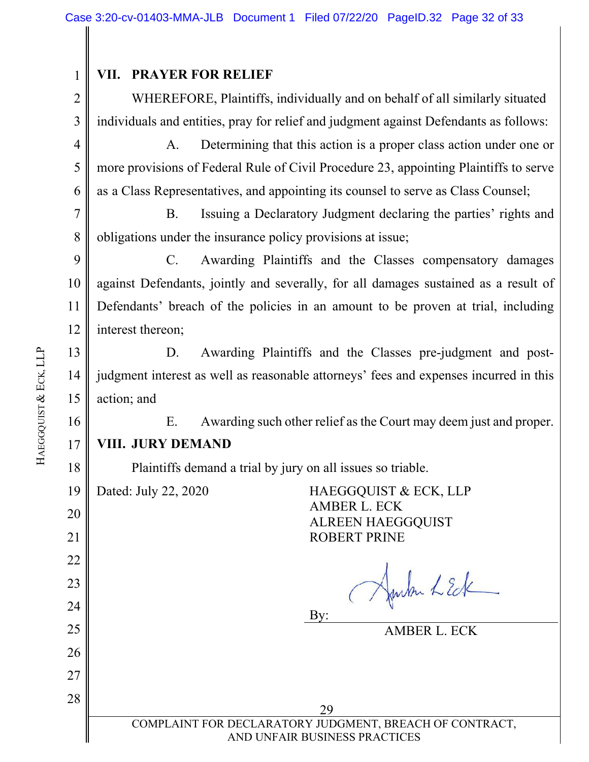#### **VII. PRAYER FOR RELIEF**

WHEREFORE, Plaintiffs, individually and on behalf of all similarly situated individuals and entities, pray for relief and judgment against Defendants as follows:

4 5 6 A. Determining that this action is a proper class action under one or more provisions of Federal Rule of Civil Procedure 23, appointing Plaintiffs to serve as a Class Representatives, and appointing its counsel to serve as Class Counsel;

7 8 B. Issuing a Declaratory Judgment declaring the parties' rights and obligations under the insurance policy provisions at issue;

9 10 11 12 C. Awarding Plaintiffs and the Classes compensatory damages against Defendants, jointly and severally, for all damages sustained as a result of Defendants' breach of the policies in an amount to be proven at trial, including interest thereon;

D. Awarding Plaintiffs and the Classes pre-judgment and postjudgment interest as well as reasonable attorneys' fees and expenses incurred in this action; and

E. Awarding such other relief as the Court may deem just and proper. **VIII. JURY DEMAND** 

Plaintiffs demand a trial by jury on all issues so triable.

19

20 21

22

23

24

25

26

27

28

Dated: July 22, 2020 HAEGGQUIST & ECK, LLP AMBER L. ECK ALREEN HAEGGQUIST ROBERT PRINE

Junkn LEck

By:

AMBER L. ECK

14 15 16 17 18 HAEGGQUIST & ECK, LLP

13

1

2

3

<u>29</u> COMPLAINT FOR DECLARATORY JUDGMENT, BREACH OF CONTRACT, AND UNFAIR BUSINESS PRACTICES